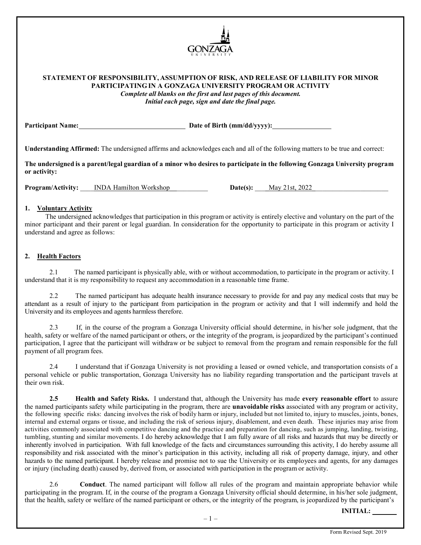

# **STATEMENT OF RESPONSIBILITY, ASSUMPTION OF RISK, AND RELEASE OF LIABILITY FOR MINOR PARTICIPATING IN A GONZAGA UNIVERSITY PROGRAM OR ACTIVITY**

*Complete all blanks on the first and last pages of this document. Initial each page, sign and date the final page.*

Participant Name: Date of Birth (mm/dd/yyyy):

**Understanding Affirmed:** The undersigned affirms and acknowledges each and all of the following matters to be true and correct:

**The undersigned is a parent/legal guardian of a minor who desires to participate in the following Gonzaga University program or activity:**

**Program/Activity:** INDA Hamilton Workshop **Date(s):** May 21st, 2022

# **1. Voluntary Activity**

The undersigned acknowledges that participation in this program or activity is entirely elective and voluntary on the part of the minor participant and their parent or legal guardian. In consideration for the opportunity to participate in this program or activity I understand and agree as follows:

# **2. Health Factors**

2.1 The named participant is physically able, with or without accommodation, to participate in the program or activity. I understand that it is my responsibility to request any accommodation in a reasonable time frame.

2.2 The named participant has adequate health insurance necessary to provide for and pay any medical costs that may be attendant as a result of injury to the participant from participation in the program or activity and that I will indemnify and hold the University and its employees and agents harmless therefore.

2.3 If, in the course of the program a Gonzaga University official should determine, in his/her sole judgment, that the health, safety or welfare of the named participant or others, or the integrity of the program, is jeopardized by the participant's continued participation, I agree that the participant will withdraw or be subject to removal from the program and remain responsible for the full payment of all program fees.

2.4 I understand that if Gonzaga University is not providing a leased or owned vehicle, and transportation consists of a personal vehicle or public transportation, Gonzaga University has no liability regarding transportation and the participant travels at their own risk.

**2.5 Health and Safety Risks.** I understand that, although the University has made **every reasonable effort** to assure the named participants safety while participating in the program, there are **unavoidable risks** associated with any program or activity, the following specific risks: dancing involves the risk of bodily harm or injury, included but not limited to, injury to muscles, joints, bones, internal and external organs or tissue, and including the risk of serious injury, disablement, and even death. These injuries may arise from activities commonly associated with competitive dancing and the practice and preparation for dancing, such as jumping, landing, twisting, tumbling, stunting and similar movements. I do hereby acknowledge that I am fully aware of all risks and hazards that may be directly or inherently involved in participation. With full knowledge of the facts and circumstances surrounding this activity, I do hereby assume all responsibility and risk associated with the minor's participation in this activity, including all risk of property damage, injury, and other hazards to the named participant. I hereby release and promise not to sue the University or its employees and agents, for any damages or injury (including death) caused by, derived from, or associated with participation in the program or activity.

2.6 **Conduct**. The named participant will follow all rules of the program and maintain appropriate behavior while participating in the program. If, in the course of the program a Gonzaga University official should determine, in his/her sole judgment, that the health, safety or welfare of the named participant or others, or the integrity of the program, is jeopardized by the participant's

**INITIAL:**